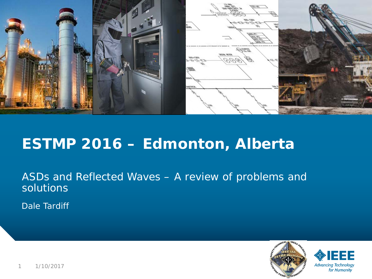

### **ESTMP 2016 – Edmonton, Alberta**

ASDs and Reflected Waves – A review of problems and solutions

Dale Tardiff



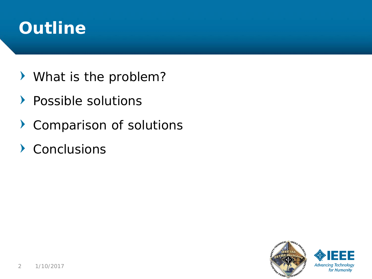# **Outline**

- What is the problem?
- $\blacktriangleright$ Possible solutions
- $\blacktriangleright$ Comparison of solutions
- Conclusions

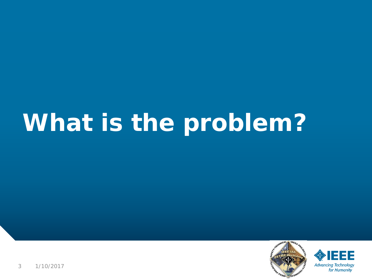# **What is the problem?**



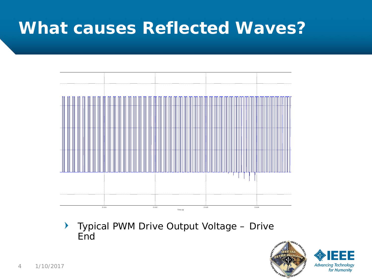

Typical PWM Drive Output Voltage – Drive  $\blacktriangleright$ **End** 



for Humanity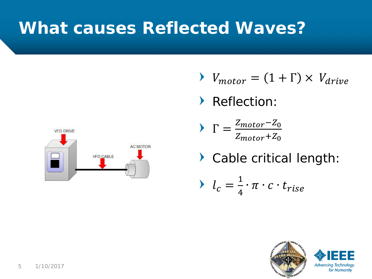

- $V_{motor} = (1 + \Gamma) \times V_{drive}$
- ▶ Reflection:
- $\Gamma =$ <u>Z<sub>motor</sub>−Z<sub>0</sub></u>  $Z_{motor}+Z_0$
- Cable critical length:

$$
\blacktriangleright \quad l_c = \frac{1}{4} \cdot \pi \cdot c \cdot t_{rise}
$$

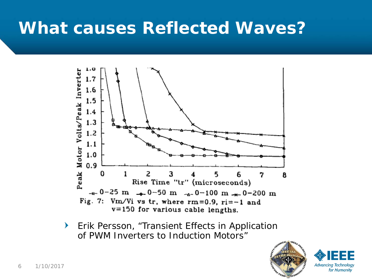

**Erik Persson, "Transient Effects in Application** of PWM Inverters to Induction Motors"



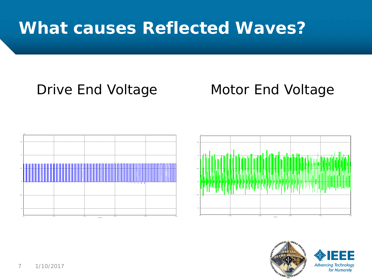### Drive End Voltage Motor End Voltage





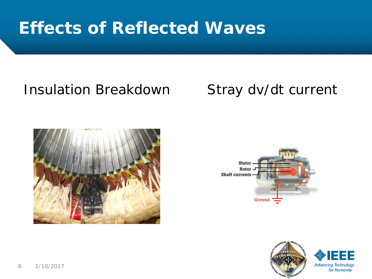# **Effects of Reflected Waves**

### Insulation Breakdown Stray dv/dt current





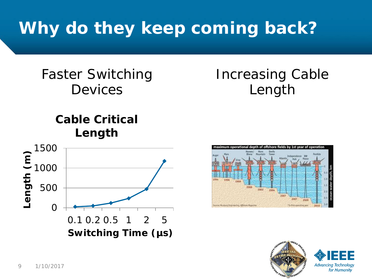# **Why do they keep coming back?**

### Faster Switching Devices

#### **Cable Critical Length**





Increasing Cable

Length

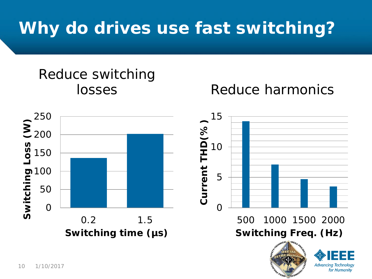# **Why do drives use fast switching?**

# Reduce switching

#### losses Reduce harmonics

for Humanity

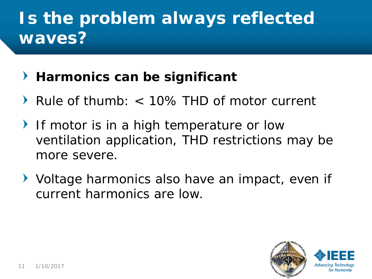# **Is the problem always reflected waves?**

### **Harmonics can be significant**

- Rule of thumb: < 10% THD of motor current
- If motor is in a high temperature or low ventilation application, THD restrictions may be more severe.
- Voltage harmonics also have an impact, even if current harmonics are low.

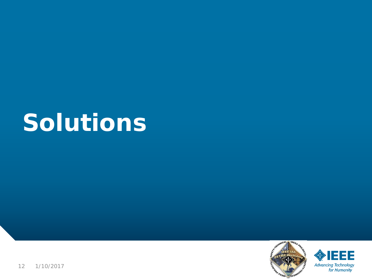# **Solutions**



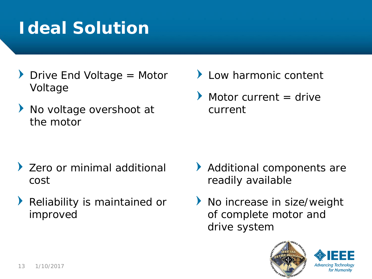# **Ideal Solution**

- $\triangleright$  Drive End Voltage = Motor Voltage
- $\blacktriangleright$ No voltage overshoot at the motor

- Zero or minimal additional cost
- Reliability is maintained or improved
- **Low harmonic content**
- Motor current  $=$  drive current

- Additional components are readily available
- ▶ No increase in size/weight of complete motor and drive system



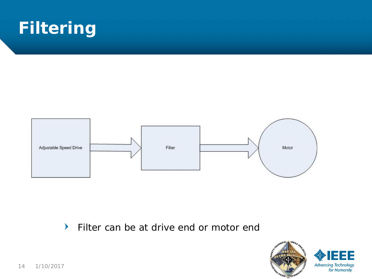# **Filtering**



 $\blacktriangleright$ Filter can be at drive end or motor end

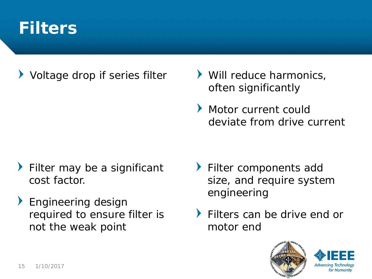### **Filters**

Voltage drop if series filter  $\longrightarrow$  Will reduce harmonics,

- often significantly
- Motor current could deviate from drive current

- Filter may be a significant cost factor.
- **Engineering design** required to ensure filter is not the weak point
- Filter components add size, and require system engineering
- Filters can be drive end or motor end



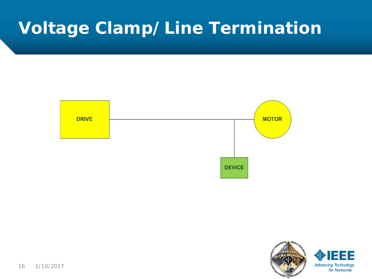# **Voltage Clamp/Line Termination**



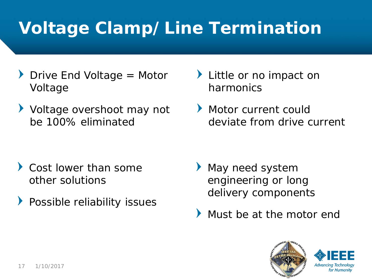# **Voltage Clamp/Line Termination**

- $\triangleright$  Drive End Voltage = Motor Voltage
- ▶ Voltage overshoot may not be 100% eliminated

- Cost lower than some other solutions
- **Possible reliability issues**
- I Little or no impact on harmonics
- Motor current could deviate from drive current

- May need system engineering or long delivery components
- Must be at the motor end



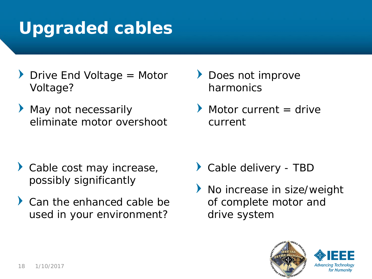# **Upgraded cables**

- $\blacktriangleright$  Drive End Voltage = Motor Voltage?
- May not necessarily eliminate motor overshoot

- Cable cost may increase, possibly significantly
- Can the enhanced cable be used in your environment?
- Does not improve harmonics
- Motor current  $=$  drive current

- Cable delivery TBD
- No increase in size/weight of complete motor and drive system



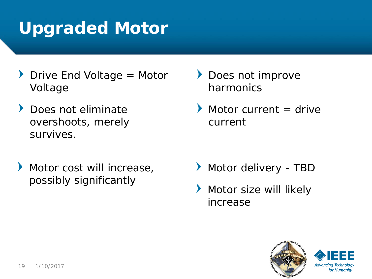# **Upgraded Motor**

- $\blacktriangleright$  Drive End Voltage = Motor Voltage
- Does not eliminate overshoots, merely survives.
- Motor cost will increase, possibly significantly
- **Does not improve** harmonics
- Motor current  $=$  drive current

- Motor delivery TBD
- Motor size will likely increase



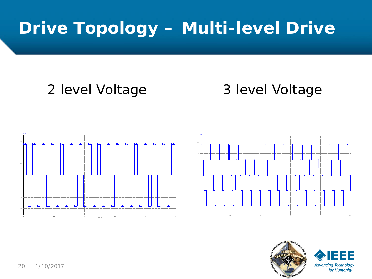# **Drive Topology – Multi-level Drive**

### 2 level Voltage 3 level Voltage





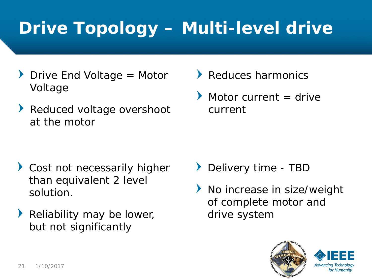# **Drive Topology – Multi-level drive**

- $\triangleright$  Drive End Voltage = Motor Voltage
- $\blacktriangleright$ Reduced voltage overshoot at the motor
- Reduces harmonics
- Motor current  $=$  drive current

- Cost not necessarily higher than equivalent 2 level solution.
- Reliability may be lower, but not significantly
- Delivery time TBD
- No increase in size/weight  $\blacktriangleright$ of complete motor and drive system



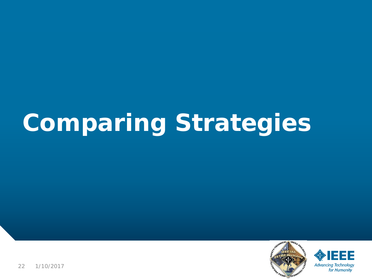# **Comparing Strategies**



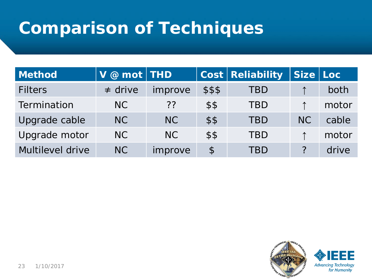# **Comparison of Techniques**

| <b>Method</b>    | $V \ @$ mot   THD |                |                        | <b>Cost Reliability</b> | Size Loc  |       |
|------------------|-------------------|----------------|------------------------|-------------------------|-----------|-------|
| <b>Filters</b>   | $\neq$ drive      | improve        | \$\$\$                 | TBD                     |           | both  |
| Termination      | NC                | ??             | \$\$                   | <b>TBD</b>              |           | motor |
| Upgrade cable    | NC                | NC             | \$\$                   | <b>TBD</b>              | <b>NC</b> | cable |
| Upgrade motor    | NC                | N <sub>C</sub> | \$\$                   | <b>TBD</b>              |           | motor |
| Multilevel drive | N <sub>C</sub>    | improve        | $\boldsymbol{\varphi}$ | TBD                     |           | drive |

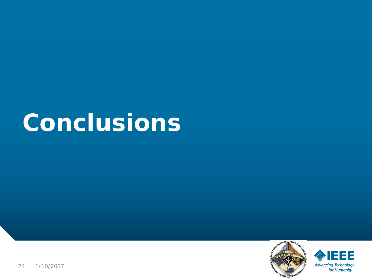



24 1/10/2017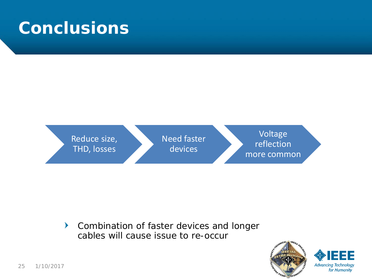

 $\blacktriangleright$ Combination of faster devices and longer cables will cause issue to re-occur

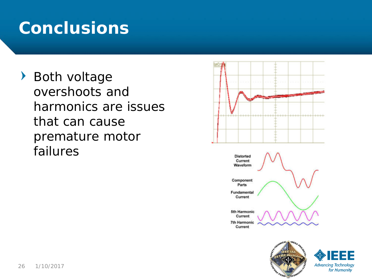Both voltage overshoots and harmonics are issues that can cause premature motor failures